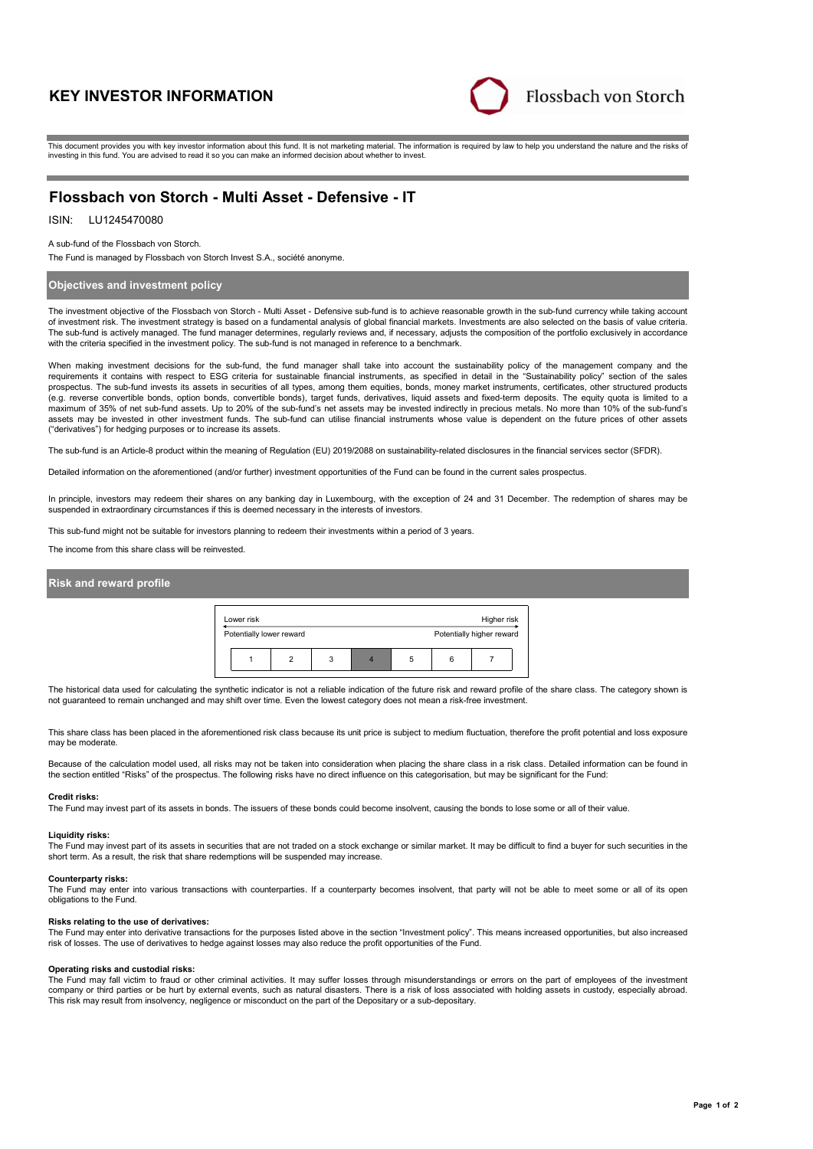# **KEY INVESTOR INFORMATION**



This document provides you with key investor information about this fund. It is not marketing material. The information is required by law to help you understand the nature and the risks of investing in this fund. You are advised to read it so you can make an informed decision about whether to invest.

## **Flossbach von Storch - Multi Asset - Defensive - IT**

## ISIN: LU1245470080

A sub-fund of the Flossbach von Storch.

The Fund is managed by Flossbach von Storch Invest S.A., société anonyme.

### **Objectives and investment policy**

The investment objective of the Flossbach von Storch - Multi Asset - Defensive sub-fund is to achieve reasonable growth in the sub-fund currency while taking account of investment risk. The investment strategy is based on a fundamental analysis of global financial markets. Investments are also selected on the basis of value criteria. The sub-fund is actively managed. The fund manager determines, regularly reviews and, if necessary, adjusts the composition of the portfolio exclusively in accordance with the criteria specified in the investment policy. The sub-fund is not managed in reference to a benchmark.

When making investment decisions for the sub-fund, the fund manager shall take into account the sustainability policy of the management company and the<br>requirements it contains with respect to ESG criteria for sustainable prospectus. The sub-fund invests its assets in securities of all types, among them equities, bonds, money market instruments, certificates, other structured products (e.g. reverse convertible bonds, option bonds, convertible bonds), target funds, derivatives, liquid assets and fixed-term deposits. The equity quota is limited to a maximum of 35% of net sub-fund assets. Up to 20% of the sub-fund's net assets may be invested indirectly in precious metals. No more than 10% of the sub-fund's assets may be invested in other investment funds. The sub-fund can utilise financial instruments whose value is dependent on the future prices of other assets ("derivatives") for hedging purposes or to increase its assets.

The sub-fund is an Article-8 product within the meaning of Regulation (EU) 2019/2088 on sustainability-related disclosures in the financial services sector (SFDR).

Detailed information on the aforementioned (and/or further) investment opportunities of the Fund can be found in the current sales prospectus.

In principle, investors may redeem their shares on any banking day in Luxembourg, with the exception of 24 and 31 December. The redemption of shares may be suspended in extraordinary circumstances if this is deemed necessary in the interests of investors.

This sub-fund might not be suitable for investors planning to redeem their investments within a period of 3 years.

The income from this share class will be reinvested.

#### **Risk and reward profile**

| Lower risk               |  |   |   |  |   |   | Higher risk               |  |
|--------------------------|--|---|---|--|---|---|---------------------------|--|
| Potentially lower reward |  |   |   |  |   |   | Potentially higher reward |  |
|                          |  | ≘ | 3 |  | 5 | 6 |                           |  |

The historical data used for calculating the synthetic indicator is not a reliable indication of the future risk and reward profile of the share class. The category shown is not guaranteed to remain unchanged and may shift over time. Even the lowest category does not mean a risk-free investment.

This share class has been placed in the aforementioned risk class because its unit price is subject to medium fluctuation, therefore the profit potential and loss exposure may be moderate

Because of the calculation model used, all risks may not be taken into consideration when placing the share class in a risk class. Detailed information can be found in the section entitled "Risks" of the prospectus. The following risks have no direct influence on this categorisation, but may be significant for the Fund:

#### **Credit risks:**

The Fund may invest part of its assets in bonds. The issuers of these bonds could become insolvent, causing the bonds to lose some or all of their value.

#### **Liquidity risks:**

The Fund may invest part of its assets in securities that are not traded on a stock exchange or similar market. It may be difficult to find a buyer for such securities in the short term. As a result, the risk that share redemptions will be suspended may increase.

#### **Counterparty risks:**

The Fund may enter into various transactions with counterparties. If a counterparty becomes insolvent, that party will not be able to meet some or all of its open obligations to the Fund.

#### **Risks relating to the use of derivatives:**

The Fund may enter into derivative transactions for the purposes listed above in the section "Investment policy". This means increased opportunities, but also increased<br>risk of losses. The use of derivatives to hedge again

#### **Operating risks and custodial risks:**

The Fund may fall victim to fraud or other criminal activities. It may suffer losses through misunderstandings or errors on the part of employees of the investment company or third parties or be hurt by external events, such as natural disasters. There is a risk of loss associated with holding assets in custody, especially abroad. This risk may result from insolvency, negligence or misconduct on the part of the Depositary or a sub-depositary.